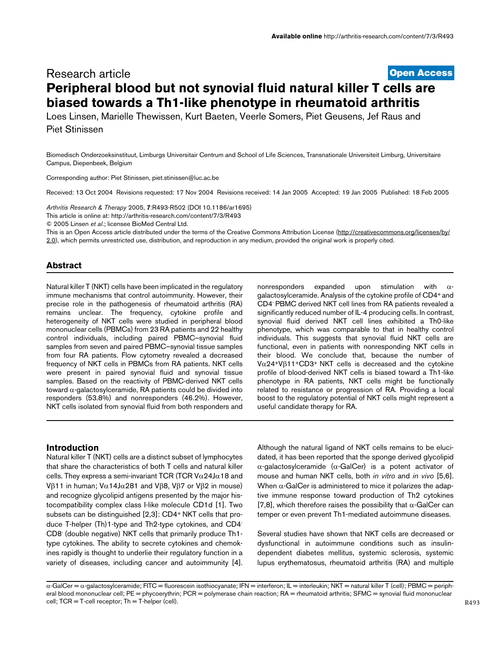# **[Open Access](http://www.biomedcentral.com/info/about/charter/)** Research article **Peripheral blood but not synovial fluid natural killer T cells are biased towards a Th1-like phenotype in rheumatoid arthritis**

Loes Linsen, Marielle Thewissen, Kurt Baeten, Veerle Somers, Piet Geusens, Jef Raus and Piet Stinissen

Biomedisch Onderzoeksinstituut, Limburgs Universitair Centrum and School of Life Sciences, Transnationale Universiteit Limburg, Universitaire Campus, Diepenbeek, Belgium

Corresponding author: Piet Stinissen, piet.stinissen@luc.ac.be

Received: 13 Oct 2004 Revisions requested: 17 Nov 2004 Revisions received: 14 Jan 2005 Accepted: 19 Jan 2005 Published: 18 Feb 2005

*Arthritis Research & Therapy* 2005, **7**:R493-R502 (DOI 10.1186/ar1695) [This article is online at: http://arthritis-research.com/content/7/3/R493](http://arthritis-research.com/content/7/3/R493) © 2005 Linsen *et al*.; licensee BioMed Central Ltd.

This is an Open Access article distributed under the terms of the Creative Commons Attribution License ([http://creativecommons.org/licenses/by/](http://creativecommons.org/licenses/by/2.0) [2.0\)](http://creativecommons.org/licenses/by/2.0), which permits unrestricted use, distribution, and reproduction in any medium, provided the original work is properly cited.

# **Abstract**

Natural killer T (NKT) cells have been implicated in the regulatory immune mechanisms that control autoimmunity. However, their precise role in the pathogenesis of rheumatoid arthritis (RA) remains unclear. The frequency, cytokine profile and heterogeneity of NKT cells were studied in peripheral blood mononuclear cells (PBMCs) from 23 RA patients and 22 healthy control individuals, including paired PBMC–synovial fluid samples from seven and paired PBMC–synovial tissue samples from four RA patients. Flow cytometry revealed a decreased frequency of NKT cells in PBMCs from RA patients. NKT cells were present in paired synovial fluid and synovial tissue samples. Based on the reactivity of PBMC-derived NKT cells toward α-galactosylceramide, RA patients could be divided into responders (53.8%) and nonresponders (46.2%). However, NKT cells isolated from synovial fluid from both responders and

nonresponders expanded upon stimulation with αgalactosylceramide. Analysis of the cytokine profile of CD4+ and CD4- PBMC derived NKT cell lines from RA patients revealed a significantly reduced number of IL-4 producing cells. In contrast, synovial fluid derived NKT cell lines exhibited a Th0-like phenotype, which was comparable to that in healthy control individuals. This suggests that synovial fluid NKT cells are functional, even in patients with nonresponding NKT cells in their blood. We conclude that, because the number of V $\alpha$ 24+V $\beta$ 11+CD3+ NKT cells is decreased and the cytokine profile of blood-derived NKT cells is biased toward a Th1-like phenotype in RA patients, NKT cells might be functionally related to resistance or progression of RA. Providing a local boost to the regulatory potential of NKT cells might represent a useful candidate therapy for RA.

## **Introduction**

Natural killer T (NKT) cells are a distinct subset of lymphocytes that share the characteristics of both T cells and natural killer cells. They express a semi-invariant TCR (TCR V $\alpha$ 24J $\alpha$ 18 and Vβ11 in human; V $\alpha$ 14J $\alpha$ 281 and Vβ8, Vβ7 or Vβ2 in mouse) and recognize glycolipid antigens presented by the major histocompatibility complex class I-like molecule CD1d [1]. Two subsets can be distinguished [2,3]: CD4+ NKT cells that produce T-helper (Th)1-type and Th2-type cytokines, and CD4- CD8- (double negative) NKT cells that primarily produce Th1 type cytokines. The ability to secrete cytokines and chemokines rapidly is thought to underlie their regulatory function in a variety of diseases, including cancer and autoimmunity [4]. Although the natural ligand of NKT cells remains to be elucidated, it has been reported that the sponge derived glycolipid α-galactosylceramide (α-GalCer) is a potent activator of mouse and human NKT cells, both *in vitro* and *in vivo* [5,6]. When  $\alpha$ -GalCer is administered to mice it polarizes the adaptive immune response toward production of Th2 cytokines [7,8], which therefore raises the possibility that  $\alpha$ -GalCer can temper or even prevent Th1-mediated autoimmune diseases.

Several studies have shown that NKT cells are decreased or dysfunctional in autoimmune conditions such as insulindependent diabetes mellitus, systemic sclerosis, systemic lupus erythematosus, rheumatoid arthritis (RA) and multiple

 $\alpha$ -GalCer =  $\alpha$ -galactosylceramide; FITC = fluorescein isothiocyanate; IFN = interferon; IL = interleukin; NKT = natural killer T (cell); PBMC = peripheral blood mononuclear cell; PE = phycoerythrin; PCR = polymerase chain reaction; RA = rheumatoid arthritis; SFMC = synovial fluid mononuclear cell; TCR = T-cell receptor; Th = T-helper (cell).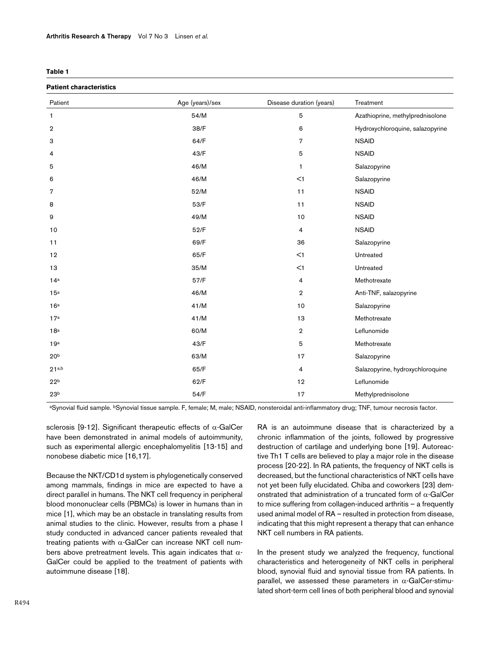<span id="page-1-0"></span>

| ٠ |  |
|---|--|
|---|--|

# **Patient characteristics**

| Faucht Giaracteristics |                 |                          |                                  |  |
|------------------------|-----------------|--------------------------|----------------------------------|--|
| Patient                | Age (years)/sex | Disease duration (years) | Treatment                        |  |
| $\mathbf{1}$           | 54/M            | $\mathbf 5$              | Azathioprine, methylprednisolone |  |
| $\overline{2}$         | 38/F            | 6                        | Hydroxychloroquine, salazopyrine |  |
| 3                      | 64/F            | $\overline{7}$           | <b>NSAID</b>                     |  |
| 4                      | 43/F            | 5                        | <b>NSAID</b>                     |  |
| 5                      | 46/M            | 1                        | Salazopyrine                     |  |
| 6                      | 46/M            | $<$ 1                    | Salazopyrine                     |  |
| 7                      | 52/M            | 11                       | <b>NSAID</b>                     |  |
| 8                      | 53/F            | 11                       | <b>NSAID</b>                     |  |
| 9                      | 49/M            | $10$                     | <b>NSAID</b>                     |  |
| 10                     | 52/F            | $\overline{4}$           | <b>NSAID</b>                     |  |
| 11                     | 69/F            | 36                       | Salazopyrine                     |  |
| 12                     | 65/F            | <1                       | Untreated                        |  |
| 13                     | 35/M            | $<$ 1                    | Untreated                        |  |
| 14a                    | 57/F            | $\overline{4}$           | Methotrexate                     |  |
| 15a                    | 46/M            | $\overline{2}$           | Anti-TNF, salazopyrine           |  |
| 16 <sup>a</sup>        | 41/M            | 10                       | Salazopyrine                     |  |
| 17a                    | 41/M            | 13                       | Methotrexate                     |  |
| 18a                    | 60/M            | $\,2\,$                  | Leflunomide                      |  |
| 19a                    | 43/F            | 5                        | Methotrexate                     |  |
| 20 <sup>b</sup>        | 63/M            | 17                       | Salazopyrine                     |  |
| 21 <sub>a,b</sub>      | 65/F            | $\overline{4}$           | Salazopyrine, hydroxychloroquine |  |
| 22 <sup>b</sup>        | 62/F            | 12                       | Leflunomide                      |  |
| 23 <sup>b</sup>        | 54/F            | 17                       | Methylprednisolone               |  |

aSynovial fluid sample. bSynovial tissue sample. F, female; M, male; NSAID, nonsteroidal anti-inflammatory drug; TNF, tumour necrosis factor.

sclerosis [9-12]. Significant therapeutic effects of  $\alpha$ -GalCer have been demonstrated in animal models of autoimmunity, such as experimental allergic encephalomyelitis [13-15] and nonobese diabetic mice [16,17].

Because the NKT/CD1d system is phylogenetically conserved among mammals, findings in mice are expected to have a direct parallel in humans. The NKT cell frequency in peripheral blood mononuclear cells (PBMCs) is lower in humans than in mice [1], which may be an obstacle in translating results from animal studies to the clinic. However, results from a phase I study conducted in advanced cancer patients revealed that treating patients with  $\alpha$ -GalCer can increase NKT cell numbers above pretreatment levels. This again indicates that  $\alpha$ -GalCer could be applied to the treatment of patients with autoimmune disease [18].

RA is an autoimmune disease that is characterized by a chronic inflammation of the joints, followed by progressive destruction of cartilage and underlying bone [19]. Autoreactive Th1 T cells are believed to play a major role in the disease process [20-22]. In RA patients, the frequency of NKT cells is decreased, but the functional characteristics of NKT cells have not yet been fully elucidated. Chiba and coworkers [23] demonstrated that administration of a truncated form of  $\alpha$ -GalCer to mice suffering from collagen-induced arthritis – a frequently used animal model of RA – resulted in protection from disease, indicating that this might represent a therapy that can enhance NKT cell numbers in RA patients.

In the present study we analyzed the frequency, functional characteristics and heterogeneity of NKT cells in peripheral blood, synovial fluid and synovial tissue from RA patients. In parallel, we assessed these parameters in  $\alpha$ -GalCer-stimulated short-term cell lines of both peripheral blood and synovial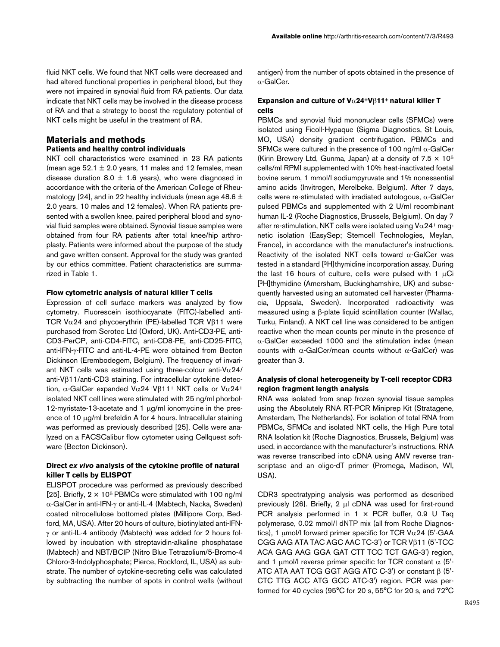fluid NKT cells. We found that NKT cells were decreased and had altered functional properties in peripheral blood, but they were not impaired in synovial fluid from RA patients. Our data indicate that NKT cells may be involved in the disease process of RA and that a strategy to boost the regulatory potential of NKT cells might be useful in the treatment of RA.

# **Materials and methods**

# **Patients and healthy control individuals**

NKT cell characteristics were examined in 23 RA patients (mean age  $52.1 \pm 2.0$  years, 11 males and 12 females, mean disease duration 8.0  $\pm$  1.6 years), who were diagnosed in accordance with the criteria of the American College of Rheumatology [24], and in 22 healthy individuals (mean age 48.6  $\pm$ 2.0 years, 10 males and 12 females). When RA patients presented with a swollen knee, paired peripheral blood and synovial fluid samples were obtained. Synovial tissue samples were obtained from four RA patients after total knee/hip arthroplasty. Patients were informed about the purpose of the study and gave written consent. Approval for the study was granted by our ethics committee. Patient characteristics are summarized in Table [1.](#page-1-0)

#### **Flow cytometric analysis of natural killer T cells**

Expression of cell surface markers was analyzed by flow cytometry. Fluorescein isothiocyanate (FITC)-labelled anti-TCR V $\alpha$ 24 and phycoerythrin (PE)-labelled TCR V $\beta$ 11 were purchased from Serotec Ltd (Oxford, UK). Anti-CD3-PE, anti-CD3-PerCP, anti-CD4-FITC, anti-CD8-PE, anti-CD25-FITC, anti-IFN-γ-FITC and anti-IL-4-PE were obtained from Becton Dickinson (Erembodegem, Belgium). The frequency of invariant NKT cells was estimated using three-colour anti-V $\alpha$ 24/ anti-Vβ11/anti-CD3 staining. For intracellular cytokine detection, α-GalCer expanded Vα24+Vβ11+ NKT cells or Vα24+ isolated NKT cell lines were stimulated with 25 ng/ml phorbol-12-myristate-13-acetate and 1 µg/ml ionomycine in the presence of 10 µg/ml brefeldin A for 4 hours. Intracellular staining was performed as previously described [25]. Cells were analyzed on a FACSCalibur flow cytometer using Cellquest software (Becton Dickinson).

### **Direct** *ex vivo* **analysis of the cytokine profile of natural killer T cells by ELISPOT**

ELISPOT procedure was performed as previously described [25]. Briefly,  $2 \times 10^5$  PBMCs were stimulated with 100 ng/ml α-GalCer in anti-IFN-γ or anti-IL-4 (Mabtech, Nacka, Sweden) coated nitrocellulose bottomed plates (Millipore Corp, Bedford, MA, USA). After 20 hours of culture, biotinylated anti-IFNγ or anti-IL-4 antibody (Mabtech) was added for 2 hours followed by incubation with streptavidin-alkaline phosphatase (Mabtech) and NBT/BCIP (Nitro Blue Tetrazolium/5-Bromo-4 Chloro-3-Indolyphosphate; Pierce, Rockford, IL, USA) as substrate. The number of cytokine-secreting cells was calculated by subtracting the number of spots in control wells (without

antigen) from the number of spots obtained in the presence of α-GalCer.

### **Expansion and culture of V**α**24+V**β**11+ natural killer T cells**

PBMCs and synovial fluid mononuclear cells (SFMCs) were isolated using Ficoll-Hypaque (Sigma Diagnostics, St Louis, MO, USA) density gradient centrifugation. PBMCs and SFMCs were cultured in the presence of 100 ng/ml  $\alpha$ -GalCer (Kirin Brewery Ltd, Gunma, Japan) at a density of  $7.5 \times 10^5$ cells/ml RPMI supplemented with 10% heat-inactivated foetal bovine serum, 1 mmol/l sodiumpyruvate and 1% nonessential amino acids (Invitrogen, Merelbeke, Belgium). After 7 days, cells were re-stimulated with irradiated autologous, α-GalCer pulsed PBMCs and supplemented with 2 U/ml recombinant human IL-2 (Roche Diagnostics, Brussels, Belgium). On day 7 after re-stimulation, NKT cells were isolated using  $V\alpha$ 24<sup>+</sup> magnetic isolation (EasySep; Stemcell Technologies, Meylan, France), in accordance with the manufacturer's instructions. Reactivity of the isolated NKT cells toward  $\alpha$ -GalCer was tested in a standard [3H]thymidine incorporation assay. During the last 16 hours of culture, cells were pulsed with 1  $\mu$ Ci [3H]thymidine (Amersham, Buckinghamshire, UK) and subsequently harvested using an automated cell harvester (Pharmacia, Uppsala, Sweden). Incorporated radioactivity was measured using a β-plate liquid scintillation counter (Wallac, Turku, Finland). A NKT cell line was considered to be antigen reactive when the mean counts per minute in the presence of  $\alpha$ -GalCer exceeded 1000 and the stimulation index (mean counts with  $\alpha$ -GalCer/mean counts without  $\alpha$ -GalCer) was greater than 3.

## **Analysis of clonal heterogeneity by T-cell receptor CDR3 region fragment length analysis**

RNA was isolated from snap frozen synovial tissue samples using the Absolutely RNA RT-PCR Miniprep Kit (Stratagene, Amsterdam, The Netherlands). For isolation of total RNA from PBMCs, SFMCs and isolated NKT cells, the High Pure total RNA Isolation kit (Roche Diagnostics, Brussels, Belgium) was used, in accordance with the manufacturer's instructions. RNA was reverse transcribed into cDNA using AMV reverse transcriptase and an oligo-dT primer (Promega, Madison, WI, USA).

CDR3 spectratyping analysis was performed as described previously [26]. Briefly, 2 µl cDNA was used for first-round PCR analysis performed in  $1 \times PCR$  buffer, 0.9 U Taq polymerase, 0.02 mmol/l dNTP mix (all from Roche Diagnostics), 1  $\mu$ mol/l forward primer specific for TCR V $\alpha$ 24 (5'-GAA CGG AAG ATA TAC AGC AAC TC-3') or TCR Vβ11 (5'-TCC ACA GAG AAG GGA GAT CTT TCC TCT GAG-3') region, and 1  $μ$ mol/l reverse primer specific for TCR constant  $α$  (5'-ATC ATA AAT TCG GGT AGG ATC C-3') or constant β (5'- CTC TTG ACC ATG GCC ATC-3') region. PCR was performed for 40 cycles (95°C for 20 s, 55°C for 20 s, and 72°C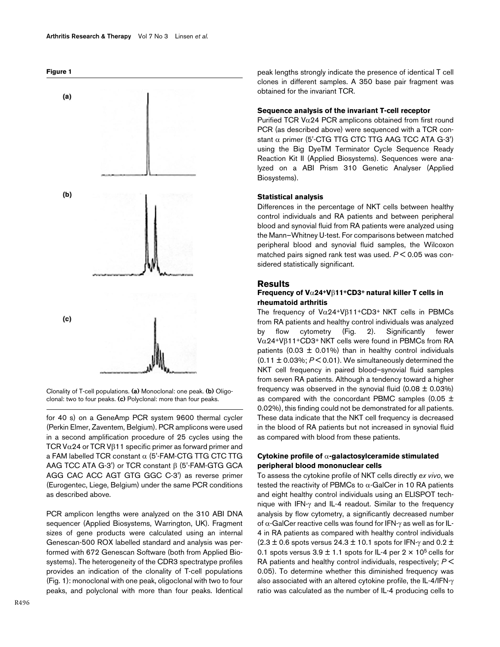



Clonality of T-cell populations. (a) Monoclonal: one peak. (b) Oligoclonal: two to four peaks. **(c)** Polyclonal: more than four peaks.

for 40 s) on a GeneAmp PCR system 9600 thermal cycler (Perkin Elmer, Zaventem, Belgium). PCR amplicons were used in a second amplification procedure of 25 cycles using the TCR V $\alpha$ 24 or TCR V $\beta$ 11 specific primer as forward primer and a FAM labelled TCR constant α (5'-FAM-CTG TTG CTC TTG AAG TCC ATA G-3') or TCR constant β (5'-FAM-GTG GCA AGG CAC ACC AGT GTG GGC C-3') as reverse primer (Eurogentec, Liege, Belgium) under the same PCR conditions as described above.

PCR amplicon lengths were analyzed on the 310 ABI DNA sequencer (Applied Biosystems, Warrington, UK). Fragment sizes of gene products were calculated using an internal Genescan-500 ROX labelled standard and analysis was performed with 672 Genescan Software (both from Applied Biosystems). The heterogeneity of the CDR3 spectratype profiles provides an indication of the clonality of T-cell populations (Fig. 1): monoclonal with one peak, oligoclonal with two to four peaks, and polyclonal with more than four peaks. Identical

peak lengths strongly indicate the presence of identical T cell clones in different samples. A 350 base pair fragment was obtained for the invariant TCR.

# **Sequence analysis of the invariant T-cell receptor**

Purified TCR V $\alpha$ 24 PCR amplicons obtained from first round PCR (as described above) were sequenced with a TCR constant  $\alpha$  primer (5'-CTG TTG CTC TTG AAG TCC ATA G-3') using the Big DyeTM Terminator Cycle Sequence Ready Reaction Kit II (Applied Biosystems). Sequences were analyzed on a ABI Prism 310 Genetic Analyser (Applied Biosystems).

#### **Statistical analysis**

Differences in the percentage of NKT cells between healthy control individuals and RA patients and between peripheral blood and synovial fluid from RA patients were analyzed using the Mann–Whitney U-test. For comparisons between matched peripheral blood and synovial fluid samples, the Wilcoxon matched pairs signed rank test was used. *P* < 0.05 was considered statistically significant.

### **Results**

### **Frequency of V**α**24+V**β**11+CD3+ natural killer T cells in rheumatoid arthritis**

The frequency of  $V\alpha$ 24+V $\beta$ 11+CD3+ NKT cells in PBMCs from RA patients and healthy control individuals was analyzed by flow cytometry (Fig. [2\)](#page-4-0). Significantly fewer Vα24+Vβ11+CD3+ NKT cells were found in PBMCs from RA patients (0.03  $\pm$  0.01%) than in healthy control individuals  $(0.11 \pm 0.03\%; P \le 0.01)$ . We simultaneously determined the NKT cell frequency in paired blood–synovial fluid samples from seven RA patients. Although a tendency toward a higher frequency was observed in the synovial fluid  $(0.08 \pm 0.03\%)$ as compared with the concordant PBMC samples (0.05  $\pm$ 0.02%), this finding could not be demonstrated for all patients. These data indicate that the NKT cell frequency is decreased in the blood of RA patients but not increased in synovial fluid as compared with blood from these patients.

#### **Cytokine profile of** α**-galactosylceramide stimulated peripheral blood mononuclear cells**

To assess the cytokine profile of NKT cells directly *ex vivo*, we tested the reactivity of PBMCs to  $\alpha$ -GalCer in 10 RA patients and eight healthy control individuals using an ELISPOT technique with IFN-γ and IL-4 readout. Similar to the frequency analysis by flow cytometry, a significantly decreased number of α-GalCer reactive cells was found for IFN-γ as well as for IL-4 in RA patients as compared with healthy control individuals  $(2.3 \pm 0.6$  spots versus 24.3  $\pm$  10.1 spots for IFN- $\gamma$  and 0.2  $\pm$ 0.1 spots versus  $3.9 \pm 1.1$  spots for IL-4 per  $2 \times 10^5$  cells for RA patients and healthy control individuals, respectively; *P* < 0.05). To determine whether this diminished frequency was also associated with an altered cytokine profile, the IL-4/IFN-γ ratio was calculated as the number of IL-4 producing cells to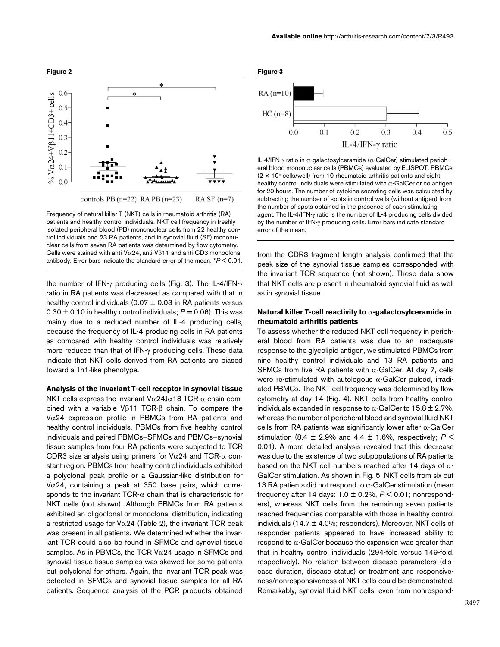

<span id="page-4-0"></span>

Frequency of natural killer T (NKT) cells in rheumatoid arthritis (RA) patients and healthy control individuals. NKT cell frequency in freshly isolated peripheral blood (PB) mononuclear cells from 22 healthy control individuals and 23 RA patients, and in synovial fluid (SF) mononuclear cells from seven RA patients was determined by flow cytometry. Cells were stained with anti-Vα24, anti-Vβ11 and anti-CD3 monoclonal antibody. Error bars indicate the standard error of the mean. \**P* < 0.01.

the number of IFN-γ producing cells (Fig. 3). The IL-4/IFN-γ ratio in RA patients was decreased as compared with that in healthy control individuals (0.07  $\pm$  0.03 in RA patients versus  $0.30 \pm 0.10$  in healthy control individuals;  $P = 0.06$ ). This was mainly due to a reduced number of IL-4 producing cells, because the frequency of IL-4 producing cells in RA patients as compared with healthy control individuals was relatively more reduced than that of IFN-γ producing cells. These data indicate that NKT cells derived from RA patients are biased toward a Th1-like phenotype.

#### **Analysis of the invariant T-cell receptor in synovial tissue**

NKT cells express the invariant  $V\alpha$ 24J $\alpha$ 18 TCR- $\alpha$  chain combined with a variable Vβ11 TCR-β chain. To compare the V $\alpha$ 24 expression profile in PBMCs from RA patients and healthy control individuals, PBMCs from five healthy control individuals and paired PBMCs–SFMCs and PBMCs–synovial tissue samples from four RA patients were subjected to TCR CDR3 size analysis using primers for Vα24 and TCR-α constant region. PBMCs from healthy control individuals exhibited a polyclonal peak profile or a Gaussian-like distribution for V $\alpha$ 24, containing a peak at 350 base pairs, which corresponds to the invariant TCR- $\alpha$  chain that is characteristic for NKT cells (not shown). Although PBMCs from RA patients exhibited an oligoclonal or monoclonal distribution, indicating a restricted usage for  $V\alpha$ [2](#page-5-0)4 (Table 2), the invariant TCR peak was present in all patients. We determined whether the invariant TCR could also be found in SFMCs and synovial tissue samples. As in PBMCs, the TCR V $\alpha$ 24 usage in SFMCs and synovial tissue tissue samples was skewed for some patients but polyclonal for others. Again, the invariant TCR peak was detected in SFMCs and synovial tissue samples for all RA patients. Sequence analysis of the PCR products obtained



IL-4/IFN-γ ratio in α-galactosylceramide (α-GalCer) stimulated peripheral blood mononuclear cells (PBMCs) evaluated by ELISPOT. PBMCs  $(2 \times 10^5 \text{ cells/well})$  from 10 rheumatoid arthritis patients and eight healthy control individuals were stimulated with  $\alpha$ -GalCer or no antigen for 20 hours. The number of cytokine secreting cells was calculated by subtracting the number of spots in control wells (without antigen) from the number of spots obtained in the presence of each stimulating agent. The IL-4/IFN-γ ratio is the number of IL-4 producing cells divided by the number of IFN-γ producing cells. Error bars indicate standard error of the mean.

from the CDR3 fragment length analysis confirmed that the peak size of the synovial tissue samples corresponded with the invariant TCR sequence (not shown). These data show that NKT cells are present in rheumatoid synovial fluid as well as in synovial tissue.

#### **Natural killer T-cell reactivity to** α**-galactosylceramide in rheumatoid arthritis patients**

To assess whether the reduced NKT cell frequency in peripheral blood from RA patients was due to an inadequate response to the glycolipid antigen, we stimulated PBMCs from nine healthy control individuals and 13 RA patients and SFMCs from five RA patients with  $\alpha$ -GalCer. At day 7, cells were re-stimulated with autologous  $α$ -GalCer pulsed, irradiated PBMCs. The NKT cell frequency was determined by flow cytometry at day 14 (Fig. 4). NKT cells from healthy control individuals expanded in response to  $\alpha$ -GalCer to 15.8 ± 2.7%, whereas the number of peripheral blood and synovial fluid NKT cells from RA patients was significantly lower after  $\alpha$ -GalCer stimulation (8.4  $\pm$  2.9% and 4.4  $\pm$  1.6%, respectively;  $P \leq$ 0.01). A more detailed analysis revealed that this decrease was due to the existence of two subpopulations of RA patients based on the NKT cell numbers reached after 14 days of  $\alpha$ -GalCer stimulation. As shown in Fig. 5, NKT cells from six out 13 RA patients did not respond to  $\alpha$ -GalCer stimulation (mean frequency after 14 days: 1.0 ± 0.2%, *P* < 0.01; nonresponders), whereas NKT cells from the remaining seven patients reached frequencies comparable with those in healthy control individuals  $(14.7 \pm 4.0\%)$ ; responders). Moreover, NKT cells of responder patients appeared to have increased ability to respond to  $α$ -GalCer because the expansion was greater than that in healthy control individuals (294-fold versus 149-fold, respectively). No relation between disease parameters (disease duration, disease status) or treatment and responsiveness/nonresponsiveness of NKT cells could be demonstrated. Remarkably, synovial fluid NKT cells, even from nonrespond-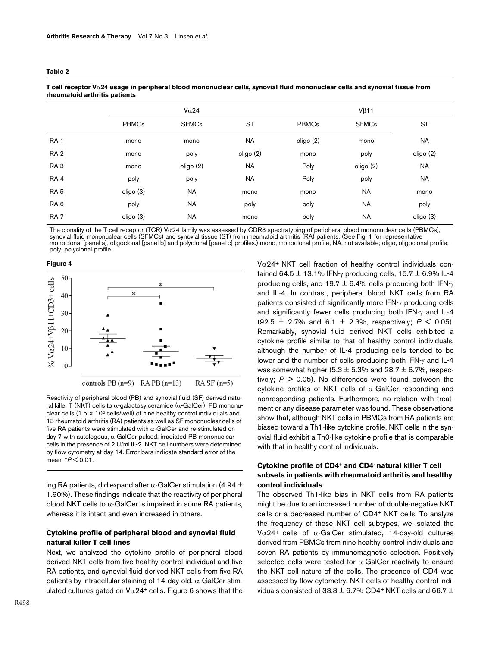#### <span id="page-5-0"></span>**Table 2**

| rheumatoid arthritis patients |              |              |           |              |              |           |  |  |  |
|-------------------------------|--------------|--------------|-----------|--------------|--------------|-----------|--|--|--|
|                               |              | $V\alpha$ 24 |           |              | $V\beta$ 11  |           |  |  |  |
|                               | <b>PBMCs</b> | <b>SFMCs</b> | <b>ST</b> | <b>PBMCs</b> | <b>SFMCs</b> | <b>ST</b> |  |  |  |
| RA <sub>1</sub>               | mono         | mono         | <b>NA</b> | oligo (2)    | mono         | NA        |  |  |  |
| RA <sub>2</sub>               | mono         | poly         | oligo (2) | mono         | poly         | oligo (2) |  |  |  |
| RA <sub>3</sub>               | mono         | oligo (2)    | <b>NA</b> | Poly         | oligo (2)    | NA        |  |  |  |
| RA <sub>4</sub>               | poly         | poly         | <b>NA</b> | Poly         | poly         | <b>NA</b> |  |  |  |
| RA <sub>5</sub>               | oligo (3)    | <b>NA</b>    | mono      | mono         | <b>NA</b>    | mono      |  |  |  |
| RA <sub>6</sub>               | poly         | <b>NA</b>    | poly      | poly         | <b>NA</b>    | poly      |  |  |  |
| RA <sub>7</sub>               | oligo (3)    | <b>NA</b>    | mono      | poly         | <b>NA</b>    | oligo (3) |  |  |  |

**T cell receptor V**α**24 usage in peripheral blood mononuclear cells, synovial fluid mononuclear cells and synovial tissue from rheumatoid arthritis patients**

The clonality of the T-cell receptor (TCR) V $\alpha$ 24 family was assessed by CDR3 spectratyping of peripheral blood mononuclear cells (PBMCs), synovial fluid mononuclear cells (SFMCs) and synovial tissue (ST) from rheumatoid arthritis (RA) patients. (See Fig. 1 for representative monoclonal [panel a], oligoclonal [panel b] and polyclonal [panel c] profiles.) mono, monoclonal profile; NA, not available; oligo, oligoclonal profile; poly, polyclonal profile.

**Figure 4**



Reactivity of peripheral blood (PB) and synovial fluid (SF) derived natural killer T (NKT) cells to  $α$ -galactosylceramide ( $α$ -GalCer). PB mononuclear cells ( $1.5 \times 10^6$  cells/well) of nine healthy control individuals and 13 rheumatoid arthritis (RA) patients as well as SF mononuclear cells of five RA patients were stimulated with α-GalCer and re-stimulated on day 7 with autologous,  $\alpha$ -GalCer pulsed, irradiated PB mononuclear cells in the presence of 2 U/ml IL-2. NKT cell numbers were determined by flow cytometry at day 14. Error bars indicate standard error of the mean. \**P* < 0.01.

ing RA patients, did expand after  $\alpha$ -GalCer stimulation (4.94 ± 1.90%). These findings indicate that the reactivity of peripheral blood NKT cells to  $\alpha$ -GalCer is impaired in some RA patients, whereas it is intact and even increased in others.

## **Cytokine profile of peripheral blood and synovial fluid natural killer T cell lines**

Next, we analyzed the cytokine profile of peripheral blood derived NKT cells from five healthy control individual and five RA patients, and synovial fluid derived NKT cells from five RA patients by intracellular staining of 14-day-old,  $\alpha$ -GalCer stimulated cultures gated on  $V\alpha$ 24<sup>+</sup> cells. Figure 6 shows that the

 $V\alpha$ 24<sup>+</sup> NKT cell fraction of healthy control individuals contained 64.5  $\pm$  13.1% IFN-γ producing cells, 15.7  $\pm$  6.9% IL-4 producing cells, and 19.7  $\pm$  6.4% cells producing both IFN- $\gamma$ and IL-4. In contrast, peripheral blood NKT cells from RA patients consisted of significantly more IFN-γ producing cells and significantly fewer cells producing both IFN-γ and IL-4 (92.5 ± 2.7% and 6.1 ± 2.3%, respectively; *P* < 0.05). Remarkably, synovial fluid derived NKT cells exhibited a cytokine profile similar to that of healthy control individuals, although the number of IL-4 producing cells tended to be lower and the number of cells producing both IFN-γ and IL-4 was somewhat higher (5.3  $\pm$  5.3% and 28.7  $\pm$  6.7%, respectively;  $P > 0.05$ ). No differences were found between the cytokine profiles of NKT cells of α-GalCer responding and nonresponding patients. Furthermore, no relation with treatment or any disease parameter was found. These observations show that, although NKT cells in PBMCs from RA patients are biased toward a Th1-like cytokine profile, NKT cells in the synovial fluid exhibit a Th0-like cytokine profile that is comparable with that in healthy control individuals.

# **Cytokine profile of CD4+ and CD4- natural killer T cell subsets in patients with rheumatoid arthritis and healthy control individuals**

The observed Th1-like bias in NKT cells from RA patients might be due to an increased number of double-negative NKT cells or a decreased number of CD4+ NKT cells. To analyze the frequency of these NKT cell subtypes, we isolated the V $\alpha$ 24<sup>+</sup> cells of  $\alpha$ -GalCer stimulated, 14-day-old cultures derived from PBMCs from nine healthy control individuals and seven RA patients by immunomagnetic selection. Positively selected cells were tested for  $\alpha$ -GalCer reactivity to ensure the NKT cell nature of the cells. The presence of CD4 was assessed by flow cytometry. NKT cells of healthy control individuals consisted of 33.3  $\pm$  6.7% CD4+ NKT cells and 66.7  $\pm$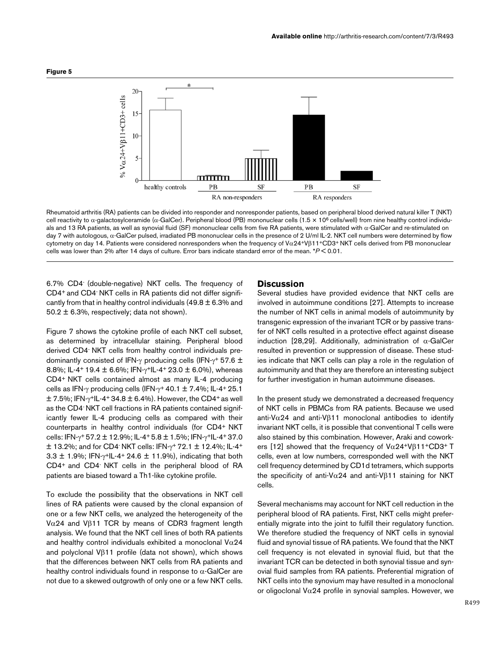

Rheumatoid arthritis (RA) patients can be divided into responder and nonresponder patients, based on peripheral blood derived natural killer T (NKT) cell reactivity to  $\alpha$ -galactosylceramide ( $\alpha$ -GalCer). Peripheral blood (PB) mononuclear cells (1.5 × 10<sup>6</sup> cells/well) from nine healthy control individuals and 13 RA patients, as well as synovial fluid (SF) mononuclear cells from five RA patients, were stimulated with α-GalCer and re-stimulated on day 7 with autologous, α-GalCer pulsed, irradiated PB mononuclear cells in the presence of 2 U/ml IL-2. NKT cell numbers were determined by flow cytometry on day 14. Patients were considered nonresponders when the frequency of Vα24+Vβ11+CD3+ NKT cells derived from PB mononuclear cells was lower than 2% after 14 days of culture. Error bars indicate standard error of the mean. \**P* < 0.01.

6.7% CD4- (double-negative) NKT cells. The frequency of CD4+ and CD4- NKT cells in RA patients did not differ significantly from that in healthy control individuals  $(49.8 \pm 6.3\%)$  and 50.2  $\pm$  6.3%, respectively; data not shown).

Figure 7 shows the cytokine profile of each NKT cell subset, as determined by intracellular staining. Peripheral blood derived CD4- NKT cells from healthy control individuals predominantly consisted of IFN- $\gamma$  producing cells (IFN- $\gamma$ + 57.6  $\pm$ 8.8%; IL-4+ 19.4  $\pm$  6.6%; IFN- $\gamma$ +IL-4+ 23.0  $\pm$  6.0%), whereas CD4+ NKT cells contained almost as many IL-4 producing cells as IFN-γ producing cells (IFN-γ+ 40.1  $\pm$  7.4%; IL-4+ 25.1  $\pm$  7.5%; IFN- $\gamma$ <sup>+</sup>IL-4<sup>+</sup> 34.8  $\pm$  6.4%). However, the CD4<sup>+</sup> as well as the CD4- NKT cell fractions in RA patients contained significantly fewer IL-4 producing cells as compared with their counterparts in healthy control individuals (for CD4+ NKT cells: IFN-γ+ 57.2 ± 12.9%; IL-4+ 5.8 ± 1.5%; IFN-γ+IL-4+ 37.0  $\pm$  13.2%; and for CD4 NKT cells: IFN- $\gamma$ <sup>+</sup> 72.1  $\pm$  12.4%; IL-4<sup>+</sup> 3.3  $\pm$  1.9%; IFN- $\gamma$ <sup>+</sup>IL-4<sup>+</sup> 24.6  $\pm$  11.9%), indicating that both CD4+ and CD4- NKT cells in the peripheral blood of RA patients are biased toward a Th1-like cytokine profile.

To exclude the possibility that the observations in NKT cell lines of RA patients were caused by the clonal expansion of one or a few NKT cells, we analyzed the heterogeneity of the Vα24 and Vβ11 TCR by means of CDR3 fragment length analysis. We found that the NKT cell lines of both RA patients and healthy control individuals exhibited a monoclonal  $V\alpha24$ and polyclonal Vβ11 profile (data not shown), which shows that the differences between NKT cells from RA patients and healthy control individuals found in response to  $\alpha$ -GalCer are not due to a skewed outgrowth of only one or a few NKT cells.

# **Discussion**

Several studies have provided evidence that NKT cells are involved in autoimmune conditions [27]. Attempts to increase the number of NKT cells in animal models of autoimmunity by transgenic expression of the invariant TCR or by passive transfer of NKT cells resulted in a protective effect against disease induction [28,29]. Additionally, administration of  $\alpha$ -GalCer resulted in prevention or suppression of disease. These studies indicate that NKT cells can play a role in the regulation of autoimmunity and that they are therefore an interesting subject for further investigation in human autoimmune diseases.

In the present study we demonstrated a decreased frequency of NKT cells in PBMCs from RA patients. Because we used anti-V $\alpha$ 24 and anti-V $\beta$ 11 monoclonal antibodies to identify invariant NKT cells, it is possible that conventional T cells were also stained by this combination. However, Araki and coworkers [12] showed that the frequency of  $V\alpha$ 24+V $\beta$ 11+CD3+T cells, even at low numbers, corresponded well with the NKT cell frequency determined by CD1d tetramers, which supports the specificity of anti-Vα24 and anti-Vβ11 staining for NKT cells.

Several mechanisms may account for NKT cell reduction in the peripheral blood of RA patients. First, NKT cells might preferentially migrate into the joint to fulfill their regulatory function. We therefore studied the frequency of NKT cells in synovial fluid and synovial tissue of RA patients. We found that the NKT cell frequency is not elevated in synovial fluid, but that the invariant TCR can be detected in both synovial tissue and synovial fluid samples from RA patients. Preferential migration of NKT cells into the synovium may have resulted in a monoclonal or oligoclonal V $\alpha$ 24 profile in synovial samples. However, we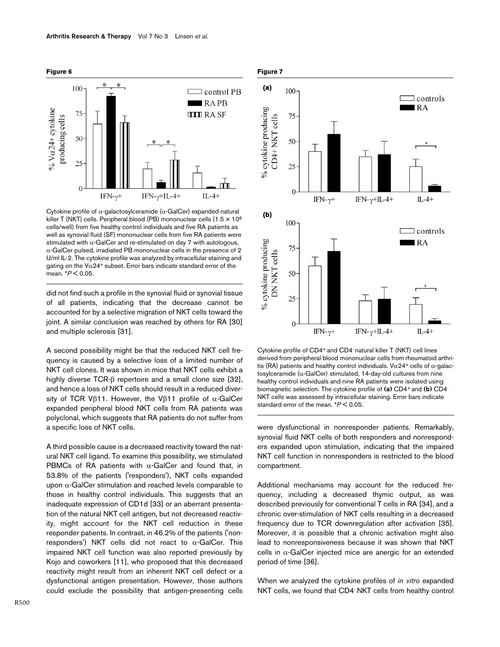



Cytokine profile of  $\alpha$ -galactosylceramide ( $\alpha$ -GalCer) expanded natural killer T (NKT) cells. Peripheral blood (PB) mononuclear cells (1.5 × 106 cells/well) from five healthy control individuals and five RA patients as well as synovial fluid (SF) mononuclear cells from five RA patients were stimulated with  $\alpha$ -GalCer and re-stimulated on day 7 with autologous, α-GalCer pulsed, irradiated PB mononuclear cells in the presence of 2 U/ml IL-2. The cytokine profile was analyzed by intracellular staining and gating on the V $\alpha$ 24+ subset. Error bars indicate standard error of the mean. \**P* < 0.05.

did not find such a profile in the synovial fluid or synovial tissue of all patients, indicating that the decrease cannot be accounted for by a selective migration of NKT cells toward the joint. A similar conclusion was reached by others for RA [30] and multiple sclerosis [31].

A second possibility might be that the reduced NKT cell frequency is caused by a selective loss of a limited number of NKT cell clones. It was shown in mice that NKT cells exhibit a highly diverse TCR-β repertoire and a small clone size [32], and hence a loss of NKT cells should result in a reduced diversity of TCR Vβ11. However, the Vβ11 profile of  $\alpha$ -GalCer expanded peripheral blood NKT cells from RA patients was polyclonal, which suggests that RA patients do not suffer from a specific loss of NKT cells.

A third possible cause is a decreased reactivity toward the natural NKT cell ligand. To examine this possibility, we stimulated PBMCs of RA patients with  $\alpha$ -GalCer and found that, in 53.8% of the patients ('responders'), NKT cells expanded upon α-GalCer stimulation and reached levels comparable to those in healthy control individuals. This suggests that an inadequate expression of CD1d [33] or an aberrant presentation of the natural NKT cell antigen, but not decreased reactivity, might account for the NKT cell reduction in these responder patients. In contrast, in 46.2% of the patients ('nonresponders') NKT cells did not react to  $\alpha$ -GalCer. This impaired NKT cell function was also reported previously by Kojo and coworkers [11], who proposed that this decreased reactivity might result from an inherent NKT cell defect or a dysfunctional antigen presentation. However, those authors could exclude the possibility that antigen-presenting cells





Cytokine profile of CD4<sup>+</sup> and CD4<sup>-</sup> natural killer T (NKT) cell lines derived from peripheral blood mononuclear cells from rheumatoid arthritis (RA) patients and healthy control individuals. V $\alpha$ 24+ cells of  $\alpha$ -galactosylceramide (α-GalCer) stimulated, 14-day-old cultures from nine healthy control individuals and nine RA patients were isolated using biomagnetic selection. The cytokine profile of **(a)** CD4+ and **(b)** CD4- NKT cells was assessed by intracellular staining. Error bars indicate standard error of the mean. \**P* < 0.05.

were dysfunctional in nonresponder patients. Remarkably, synovial fluid NKT cells of both responders and nonresponders expanded upon stimulation, indicating that the impaired NKT cell function in nonresponders is restricted to the blood compartment.

Additional mechanisms may account for the reduced frequency, including a decreased thymic output, as was described previously for conventional T cells in RA [34], and a chronic over-stimulation of NKT cells resulting in a decreased frequency due to TCR downregulation after activation [35]. Moreover, it is possible that a chronic activation might also lead to nonresponsiveness because it was shown that NKT cells in α-GalCer injected mice are anergic for an extended period of time [36].

When we analyzed the cytokine profiles of *in vitro* expanded NKT cells, we found that CD4- NKT cells from healthy control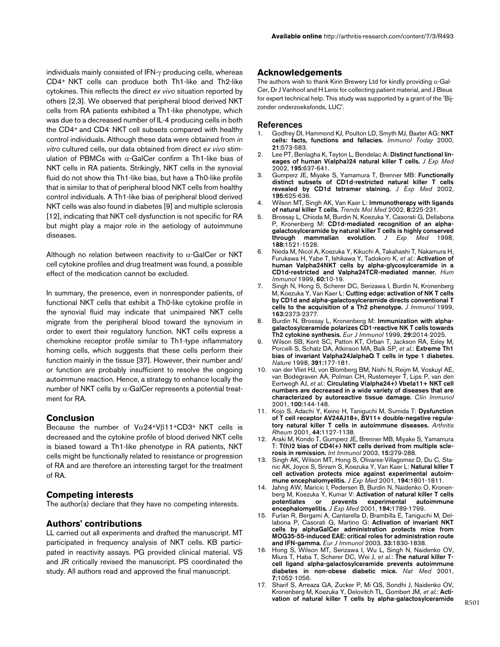individuals mainly consisted of IFN-γ producing cells, whereas CD4+ NKT cells can produce both Th1-like and Th2-like cytokines. This reflects the direct *ex vivo* situation reported by others [2,3]. We observed that peripheral blood derived NKT cells from RA patients exhibited a Th1-like phenotype, which was due to a decreased number of IL-4 producing cells in both the CD4+ and CD4- NKT cell subsets compared with healthy control individuals. Although these data were obtained from *in vitro* cultured cells, our data obtained from direct *ex vivo* stimulation of PBMCs with  $α$ -GalCer confirm a Th1-like bias of NKT cells in RA patients. Strikingly, NKT cells in the synovial fluid do not show this Th1-like bias, but have a Th0-like profile that is similar to that of peripheral blood NKT cells from healthy control individuals. A Th1-like bias of peripheral blood derived NKT cells was also found in diabetes [9] and multiple sclerosis [12], indicating that NKT cell dysfunction is not specific for RA but might play a major role in the aetiology of autoimmune diseases.

Although no relation between reactivity to  $\alpha$ -GalCer or NKT cell cytokine profiles and drug treatment was found, a possible effect of the medication cannot be excluded.

In summary, the presence, even in nonresponder patients, of functional NKT cells that exhibit a Th0-like cytokine profile in the synovial fluid may indicate that unimpaired NKT cells migrate from the peripheral blood toward the synovium in order to exert their regulatory function. NKT cells express a chemokine receptor profile similar to Th1-type inflammatory homing cells, which suggests that these cells perform their function mainly in the tissue [37]. However, their number and/ or function are probably insufficient to resolve the ongoing autoimmune reaction. Hence, a strategy to enhance locally the number of NKT cells by  $\alpha$ -GalCer represents a potential treatment for RA.

# **Conclusion**

Because the number of  $V\alpha24+V\beta11+CD3+NKT$  cells is decreased and the cytokine profile of blood derived NKT cells is biased toward a Th1-like phenotype in RA patients, NKT cells might be functionally related to resistance or progression of RA and are therefore an interesting target for the treatment of RA.

# **Competing interests**

The author(s) declare that they have no competing interests.

# **Authors' contributions**

LL carried out all experiments and drafted the manuscript. MT participated in frequency analysis of NKT cells. KB participated in reactivity assays. PG provided clinical material. VS and JR critically revised the manuscript. PS coordinated the study. All authors read and approved the final manuscript.

# **Acknowledgements**

The authors wish to thank Kirin Brewery Ltd for kindly providing  $\alpha$ -Gal-Cer, Dr J Vanhoof and H Leroi for collecting patient material, and J Bleus for expert technical help. This study was supported by a grant of the 'Bijzonder onderzoeksfonds, LUC'.

#### **References**

- 1. Godfrey DI, Hammond KJ, Poulton LD, Smyth MJ, Baxter AG: **[NKT](http://www.ncbi.nlm.nih.gov/entrez/query.fcgi?cmd=Retrieve&db=PubMed&dopt=Abstract&list_uids=11094262) [cells: facts, functions and fallacies.](http://www.ncbi.nlm.nih.gov/entrez/query.fcgi?cmd=Retrieve&db=PubMed&dopt=Abstract&list_uids=11094262)** *Immunol Today* 2000, **21:**573-583.
- 2. Lee PT, Benlagha K, Teyton L, Bendelac A: **[Distinct functional lin](http://www.ncbi.nlm.nih.gov/entrez/query.fcgi?cmd=Retrieve&db=PubMed&dopt=Abstract&list_uids=11877486)[eages of human V\(alpha\)24 natural killer T cells.](http://www.ncbi.nlm.nih.gov/entrez/query.fcgi?cmd=Retrieve&db=PubMed&dopt=Abstract&list_uids=11877486)** *J Exp Med* 2002, **195:**637-641.
- 3. Gumperz JE, Miyake S, Yamamura T, Brenner MB: **[Functionally](http://www.ncbi.nlm.nih.gov/entrez/query.fcgi?cmd=Retrieve&db=PubMed&dopt=Abstract&list_uids=11877485) [distinct subsets of CD1d-restricted natural killer T cells](http://www.ncbi.nlm.nih.gov/entrez/query.fcgi?cmd=Retrieve&db=PubMed&dopt=Abstract&list_uids=11877485) [revealed by CD1d tetramer staining.](http://www.ncbi.nlm.nih.gov/entrez/query.fcgi?cmd=Retrieve&db=PubMed&dopt=Abstract&list_uids=11877485)** *J Exp Med* 2002, **195:**625-636.
- 4. Wilson MT, Singh AK, Van Kaer L: **[Immunotherapy with ligands](http://www.ncbi.nlm.nih.gov/entrez/query.fcgi?cmd=Retrieve&db=PubMed&dopt=Abstract&list_uids=12067632) [of natural killer T cells.](http://www.ncbi.nlm.nih.gov/entrez/query.fcgi?cmd=Retrieve&db=PubMed&dopt=Abstract&list_uids=12067632)** *Trends Mol Med* 2002, **8:**225-231.
- 5. Brossay L, Chioda M, Burdin N, Koezuka Y, Casorati G, Dellabona P, Kronenberg M: **[CD1d-mediated recognition of an alpha](http://www.ncbi.nlm.nih.gov/entrez/query.fcgi?cmd=Retrieve&db=PubMed&dopt=Abstract&list_uids=9782129)[galactosylceramide by natural killer T cells is highly conserved](http://www.ncbi.nlm.nih.gov/entrez/query.fcgi?cmd=Retrieve&db=PubMed&dopt=Abstract&list_uids=9782129) [through mammalian evolution.](http://www.ncbi.nlm.nih.gov/entrez/query.fcgi?cmd=Retrieve&db=PubMed&dopt=Abstract&list_uids=9782129)** *J Exp Med* 1998, **188:**1521-1528.
- 6. Nieda M, Nicol A, Koezuka Y, Kikuchi A, Takahashi T, Nakamura H, Furukawa H, Yabe T, Ishikawa Y, Tadokoro K, *et al.*: **[Activation of](http://www.ncbi.nlm.nih.gov/entrez/query.fcgi?cmd=Retrieve&db=PubMed&dopt=Abstract&list_uids=9952023) [human Valpha24NKT cells by alpha-glycosylceramide in a](http://www.ncbi.nlm.nih.gov/entrez/query.fcgi?cmd=Retrieve&db=PubMed&dopt=Abstract&list_uids=9952023) [CD1d-restricted and Valpha24TCR-mediated manner.](http://www.ncbi.nlm.nih.gov/entrez/query.fcgi?cmd=Retrieve&db=PubMed&dopt=Abstract&list_uids=9952023)** *Hum Immunol* 1999, **60:**10-19.
- 7. Singh N, Hong S, Scherer DC, Serizawa I, Burdin N, Kronenberg M, Koezuka Y, Van Kaer L: **[Cutting edge: activation of NK T cells](http://www.ncbi.nlm.nih.gov/entrez/query.fcgi?cmd=Retrieve&db=PubMed&dopt=Abstract&list_uids=10452969) [by CD1d and alpha-galactosylceramide directs conventional T](http://www.ncbi.nlm.nih.gov/entrez/query.fcgi?cmd=Retrieve&db=PubMed&dopt=Abstract&list_uids=10452969) [cells to the acquisition of a Th2 phenotype.](http://www.ncbi.nlm.nih.gov/entrez/query.fcgi?cmd=Retrieve&db=PubMed&dopt=Abstract&list_uids=10452969)** *J Immunol* 1999, **163:**2373-2377.
- 8. Burdin N, Brossay L, Kronenberg M: **[Immunization with alpha](http://www.ncbi.nlm.nih.gov/entrez/query.fcgi?cmd=Retrieve&db=PubMed&dopt=Abstract&list_uids=10382765)[galactosylceramide polarizes CD1-reactive NK T cells towards](http://www.ncbi.nlm.nih.gov/entrez/query.fcgi?cmd=Retrieve&db=PubMed&dopt=Abstract&list_uids=10382765) [Th2 cytokine synthesis.](http://www.ncbi.nlm.nih.gov/entrez/query.fcgi?cmd=Retrieve&db=PubMed&dopt=Abstract&list_uids=10382765)** *Eur J Immunol* 1999, **29:**2014-2025.
- 9. Wilson SB, Kent SC, Patton KT, Orban T, Jackson RA, Exley M, Porcelli S, Schatz DA, Atkinson MA, Balk SP, *et al.*: **[Extreme Th1](http://www.ncbi.nlm.nih.gov/entrez/query.fcgi?cmd=Retrieve&db=PubMed&dopt=Abstract&list_uids=9428763) [bias of invariant Valpha24JalphaQ T cells in type 1 diabetes.](http://www.ncbi.nlm.nih.gov/entrez/query.fcgi?cmd=Retrieve&db=PubMed&dopt=Abstract&list_uids=9428763)** *Nature* 1998, **391:**177-181.
- 10. van der Vliet HJ, von Blomberg BM, Nishi N, Reijm M, Voskuyl AE, van Bodegraven AA, Polman CH, Rustemeyer T, Lips P, van den Eertwegh AJ, *et al.*: **[Circulating V\(alpha24+\) Vbeta11+ NKT cell](http://www.ncbi.nlm.nih.gov/entrez/query.fcgi?cmd=Retrieve&db=PubMed&dopt=Abstract&list_uids=11465942) [numbers are decreased in a wide variety of diseases that are](http://www.ncbi.nlm.nih.gov/entrez/query.fcgi?cmd=Retrieve&db=PubMed&dopt=Abstract&list_uids=11465942) [characterized by autoreactive tissue damage.](http://www.ncbi.nlm.nih.gov/entrez/query.fcgi?cmd=Retrieve&db=PubMed&dopt=Abstract&list_uids=11465942)** *Clin Immunol* 2001, **100:**144-148.
- 11. Kojo S, Adachi Y, Keino H, Taniguchi M, Sumida T: **[Dysfunction](http://www.ncbi.nlm.nih.gov/entrez/query.fcgi?cmd=Retrieve&db=PubMed&dopt=Abstract&list_uids=11352245) [of T cell receptor AV24AJ18+, BV11+ double-negative regula](http://www.ncbi.nlm.nih.gov/entrez/query.fcgi?cmd=Retrieve&db=PubMed&dopt=Abstract&list_uids=11352245)[tory natural killer T cells in autoimmune diseases.](http://www.ncbi.nlm.nih.gov/entrez/query.fcgi?cmd=Retrieve&db=PubMed&dopt=Abstract&list_uids=11352245)** *Arthritis Rheum* 2001, **44:**1127-1138.
- 12. Araki M, Kondo T, Gumperz JE, Brenner MB, Miyake S, Yamamura T: **[T\(h\)2 bias of CD4\(+\) NKT cells derived from multiple scle](http://www.ncbi.nlm.nih.gov/entrez/query.fcgi?cmd=Retrieve&db=PubMed&dopt=Abstract&list_uids=12578858)[rosis in remission.](http://www.ncbi.nlm.nih.gov/entrez/query.fcgi?cmd=Retrieve&db=PubMed&dopt=Abstract&list_uids=12578858)** *Int Immunol* 2003, **15:**279-288.
- 13. Singh AK, Wilson MT, Hong S, Olivares-Villagomez D, Du C, Stanic AK, Joyce S, Sriram S, Koezuka Y, Van Kaer L: **[Natural killer T](http://www.ncbi.nlm.nih.gov/entrez/query.fcgi?cmd=Retrieve&db=PubMed&dopt=Abstract&list_uids=11748281) [cell activation protects mice against experimental autoim](http://www.ncbi.nlm.nih.gov/entrez/query.fcgi?cmd=Retrieve&db=PubMed&dopt=Abstract&list_uids=11748281)[mune encephalomyelitis.](http://www.ncbi.nlm.nih.gov/entrez/query.fcgi?cmd=Retrieve&db=PubMed&dopt=Abstract&list_uids=11748281)** *J Exp Med* 2001, **194:**1801-1811.
- 14. Jahng AW, Maricic I, Pedersen B, Burdin N, Naidenko O, Kronenberg M, Koezuka Y, Kumar V: **[Activation of natural killer T cells](http://www.ncbi.nlm.nih.gov/entrez/query.fcgi?cmd=Retrieve&db=PubMed&dopt=Abstract&list_uids=11748280)** experimental **[encephalomyelitis.](http://www.ncbi.nlm.nih.gov/entrez/query.fcgi?cmd=Retrieve&db=PubMed&dopt=Abstract&list_uids=11748280)** *J Exp Med* 2001, **194:**1789-1799.
- 15. Furlan R, Bergami A, Cantarella D, Brambilla E, Taniguchi M, Dellabona P, Casorati G, Martino G: **[Activation of invariant NKT](http://www.ncbi.nlm.nih.gov/entrez/query.fcgi?cmd=Retrieve&db=PubMed&dopt=Abstract&list_uids=12811843) cells by alphaGalCer administration protects mice from [MOG35-55-induced EAE: critical roles for administration route](http://www.ncbi.nlm.nih.gov/entrez/query.fcgi?cmd=Retrieve&db=PubMed&dopt=Abstract&list_uids=12811843) [and IFN-gamma.](http://www.ncbi.nlm.nih.gov/entrez/query.fcgi?cmd=Retrieve&db=PubMed&dopt=Abstract&list_uids=12811843)** *Eur J Immunol* 2003, **33:**1830-1838.
- 16. Hong S, Wilson MT, Serizawa I, Wu L, Singh N, Naidenko OV, Miura T, Haba T, Scherer DC, Wei J, *et al.*: **[The natural killer T](http://www.ncbi.nlm.nih.gov/entrez/query.fcgi?cmd=Retrieve&db=PubMed&dopt=Abstract&list_uids=11533710)[cell ligand alpha-galactosylceramide prevents autoimmune](http://www.ncbi.nlm.nih.gov/entrez/query.fcgi?cmd=Retrieve&db=PubMed&dopt=Abstract&list_uids=11533710) [diabetes in non-obese diabetic mice.](http://www.ncbi.nlm.nih.gov/entrez/query.fcgi?cmd=Retrieve&db=PubMed&dopt=Abstract&list_uids=11533710)** *Nat Med* 2001, **7:**1052-1056.
- 17. Sharif S, Arreaza GA, Zucker P, Mi QS, Sondhi J, Naidenko OV, Kronenberg M, Koezuka Y, Delovitch TL, Gombert JM, *et al.*: **[Acti](http://www.ncbi.nlm.nih.gov/entrez/query.fcgi?cmd=Retrieve&db=PubMed&dopt=Abstract&list_uids=11533711)[vation of natural killer T cells by alpha-galactosylceramide](http://www.ncbi.nlm.nih.gov/entrez/query.fcgi?cmd=Retrieve&db=PubMed&dopt=Abstract&list_uids=11533711)**